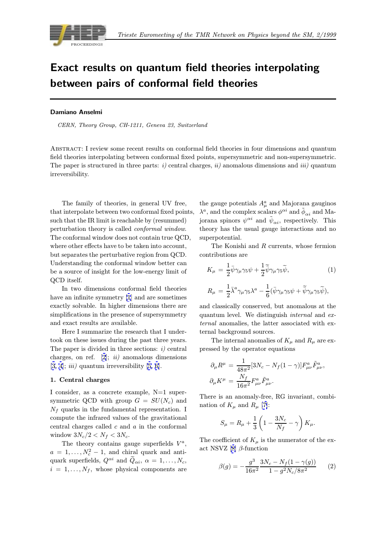

# Exact results on quantum field theories interpolating between pairs of conformal field theories

# Damiano Anselmi

CERN, Theory Group, CH-1211, Geneva 23, Switzerland

Abstract: I review some recent results on conformal field theories in four dimensions and quantum field theories interpolating between conformal fixed points, supersymmetric and non-supersymmetric. The paper is structured in three parts: i) central charges, ii) anomalous dimensions and iii) quantum irreversibility.

The family of theories, in general UV free, that interpolate between two conformal fixed points, such that the IR limit is reachable by (resummed) perturbation theory is called conformal window. The conformal window does not contain true QCD, where other effects have to be taken into account, but separates the perturbative region from QCD. Understanding the conformal window better can be a source of insight for the low-energy limit of QCD itself.

In two dimensions conformal field theories have an infinite symmetry [1] and are sometimes exactly solvable. In higher dimensions there are simplifications in the presence of supersymmetry and exact results are available.

Here I summarize the [re](#page-7-0)search that I undertook on these issues during the past three years. The paper is divided in three sections:  $i$ ) central charges, on ref.  $[2]$ ;  $ii)$  anomalous dimensions  $[3, 4]$ ; *iii*) quantum irreversibility  $[5, 6]$ .

#### 1. Central charges

I consider, as a c[on](#page-7-0)crete exampl[e,](#page-7-0) [N=](#page-7-0)1 super[symm](#page-7-0)etric QCD with group  $G = SU(N_c)$  and  $N_f$  quarks in the fundamental representation. I compute the infrared values of the gravitational central charges called c and a in the conformal window  $3N_c/2 < N_f < 3N_c$ .

The theory contains gauge superfields  $V^a$ ,  $a = 1, \ldots, N_c^2 - 1$ , and chiral quark and anti-<br>cuark superfields  $Q^{\alpha i}$  and  $\tilde{Q}$  =  $\alpha = 1$  =  $N_c$ quark superfields,  $Q^{\alpha i}$  and  $\tilde{Q}_{\alpha i}$ ,  $\alpha = 1, \ldots, N_c$ ,  $i = 1, \ldots, N_f$ , whose physical components are

the gauge potentials  $A^a_\mu$  and Majorana gauginos  $\lambda^a$ , and the complex scalars  $\phi^{\alpha i}$  and  $\phi_{\alpha i}$  and Majorana spinors  $\psi^{\alpha i}$  and  $\tilde{\psi}_{\alpha i}$ , respectively. This theory has the usual gauge interactions and no superpotential.

The Konishi and R currents, whose fermion contributions are

$$
K_{\mu} = \frac{1}{2}\bar{\psi}\gamma_{\mu}\gamma_{5}\psi + \frac{1}{2}\tilde{\bar{\psi}}\gamma_{\mu}\gamma_{5}\tilde{\psi},\tag{1}
$$

$$
R_{\mu} = \frac{1}{2} \bar{\lambda}^{a} \gamma_{\mu} \gamma_{5} \lambda^{a} - \frac{1}{6} (\bar{\psi} \gamma_{\mu} \gamma_{5} \psi + \tilde{\bar{\psi}} \gamma_{\mu} \gamma_{5} \tilde{\psi}),
$$

and classically conserved, but anomalous at the quantum level. We distinguish internal and external anomalies, the latter associated with external background sources.

The internal anomalies of  $K_u$  and  $R_u$  are expressed by the operator equations

$$
\partial_{\mu}R^{\mu} = \frac{1}{48\pi^{2}}[3N_{c} - N_{f}(1-\gamma)]F_{\mu\nu}^{a}\tilde{F}_{\mu\nu}^{a},
$$

$$
\partial_{\mu}K^{\mu} = \frac{N_{f}}{16\pi^{2}}F_{\mu\nu}^{a}\tilde{F}_{\mu\nu}^{a}.
$$

There is an anomaly-free, RG invariant, combination of  $K_{\mu}$  and  $R_{\mu}$  [7]:

$$
S_{\mu} = R_{\mu} + \frac{1}{3} \left( 1 - \frac{3N_c}{N_f} - \gamma \right) K_{\mu}.
$$

The coefficient of  $K_{\mu}$  i[s](#page-7-0) the numerator of the exact NSVZ [8]  $\beta$ -function

$$
\beta(g) = -\frac{g^3}{16\pi^2} \frac{3N_c - N_f(1 - \gamma(g))}{1 - g^2 N_c / 8\pi^2} \qquad (2)
$$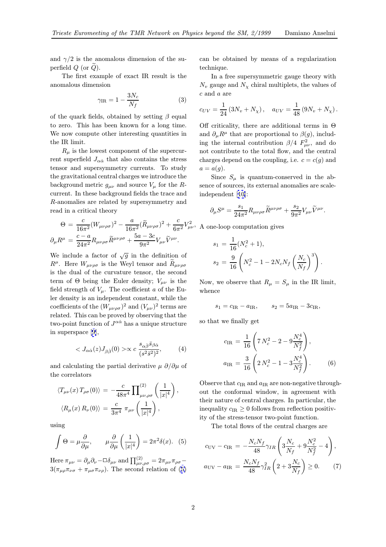<span id="page-1-0"></span>and  $\gamma/2$  is the anomalous dimension of the superfield  $Q$  (or  $Q$ ).

The first example of exact IR result is the anomalous dimension

$$
\gamma_{\rm IR} = 1 - \frac{3N_c}{N_f} \tag{3}
$$

of the quark fields, obtained by setting  $\beta$  equal to zero. This has been known for a long time. We now compute other interesting quantities in the IR limit.

 $R_u$  is the lowest component of the supercurrent superfield  $J_{\alpha\dot{\alpha}}$  that also contains the stress tensor and supersymmetry currents. To study the gravitational central charges we introduce the background metric  $g_{\mu\nu}$  and source  $V_{\mu}$  for the Rcurrent. In these background fields the trace and R-anomalies are related by supersymmetry and read in a critical theory

$$
\Theta = \frac{c}{16\pi^2} (W_{\mu\nu\rho\sigma})^2 - \frac{a}{16\pi^2} (\widetilde{R}_{\mu\nu\rho\sigma})^2 + \frac{c}{6\pi^2} V_{\mu\nu}^2
$$

$$
\partial_{\mu} R^{\mu} = \frac{c-a}{24\pi^2} R_{\mu\nu\rho\sigma} \widetilde{R}^{\mu\nu\rho\sigma} + \frac{5a - 3c}{9\pi^2} V_{\mu\nu} \widetilde{V}^{\mu\nu}.
$$

We include a factor of  $\sqrt{g}$  in the definition of  $R^{\mu}$ . Here  $W_{\mu\nu\rho\sigma}$  is the Weyl tensor and  $R_{\mu\nu\rho\sigma}$ is the dual of the curvature tensor, the second term of  $\Theta$  being the Euler density;  $V_{\mu\nu}$  is the field strength of  $V_\mu$ . The coefficient a of the Euler density is an independent constant, while the coefficients of the  $(W_{\mu\nu\rho\sigma})^2$  and  $(V_{\mu\nu})^2$  terms are related. This can be proved by observing that the two-point function of  $J^{\alpha\dot{\alpha}}$  has a unique structure in superspace [9],

$$
\langle J_{\alpha\dot{\alpha}}(z)J_{\beta\dot{\beta}}(0)\rangle \propto c \frac{s_{\alpha\dot{\beta}}\bar{s}_{\beta\dot{\alpha}}}{(s^2\bar{s}^2)^2},\tag{4}
$$

and calculatin[g](#page-7-0) the partial derivative  $\mu \partial/\partial \mu$  of the correlators

$$
\langle T_{\mu\nu}(x) T_{\rho\sigma}(0) \rangle = -\frac{c}{48\pi^4} \prod_{\mu\nu,\rho\sigma}^{(2)} \left( \frac{1}{|x|^4} \right),
$$
  

$$
\langle R_{\mu}(x) R_{\nu}(0) \rangle = \frac{c}{3\pi^4} \pi_{\mu\nu} \left( \frac{1}{|x|^4} \right),
$$

using

$$
\int \Theta = \mu \frac{\partial}{\partial \mu}, \qquad \mu \frac{\partial}{\partial \mu} \left( \frac{1}{|x|^4} \right) = 2\pi^2 \delta(x). \tag{5}
$$

Here  $\pi_{\mu\nu} = \partial_{\mu}\partial_{\nu} - \Box \delta_{\mu\nu}$  and  $\prod_{\mu\nu,\rho\sigma}^{(2)} = 2\pi_{\mu\nu}\pi_{\rho\sigma} -$ <br>  $2(\pi, \pi)$  and  $\Gamma_{\mu\nu}^{(2)}$  are proposed relation of (5)  $3(\pi_{\mu\rho}\pi_{\nu\sigma} + \pi_{\mu\sigma}\pi_{\nu\rho})$ . The second relation of (5) can be obtained by means of a regularization technique.

In a free supersymmetric gauge theory with  $N_v$  gauge and  $N_\chi$  chiral multiplets, the values of c and a are

$$
c_{UV} = \frac{1}{24} (3N_v + N_\chi), \quad a_{UV} = \frac{1}{48} (9N_v + N_\chi).
$$

Off criticality, there are additional terms in Θ and  $\partial_{\mu}R^{\mu}$  that are proportional to  $\beta(g)$ , including the internal contribution  $\beta/4 F_{\mu\nu}^2$ , and do not contribute to the total flow, and the control not contribute to the total flow, and the central charges depend on the coupling, i.e.  $c = c(g)$  and  $a = a(g)$ .

Since  $S_{\mu}$  is quantum-conserved in the absence of sources, its external anomalies are scaleindependent [10]:

$$
\partial_{\mu}S^{\mu} = \frac{s_1}{24\pi^2} R_{\mu\nu\rho\sigma} \widetilde{R}^{\mu\nu\rho\sigma} + \frac{s_2}{9\pi^2} V_{\mu\nu} \widetilde{V}^{\mu\nu}.
$$

 $\mu\nu$ , A one-loop c[omp](#page-7-0)utation gives

$$
s_1 = \frac{1}{16}(N_c^2 + 1),
$$
  
\n
$$
s_2 = \frac{9}{16}\left(N_c^2 - 1 - 2N_cN_f\left(\frac{N_c}{N_f}\right)^3\right).
$$

Now, we observe that  $R_{\mu} = S_{\mu}$  in the IR limit, whence

$$
s_1 = c_{IR} - a_{IR},
$$
  $s_2 = 5a_{IR} - 3c_{IR},$ 

so that we finally get

$$
c_{\rm IR} = \frac{1}{16} \left( 7 N_c^2 - 2 - 9 \frac{N_c^4}{N_f^2} \right),
$$
  

$$
a_{\rm IR} = \frac{3}{16} \left( 2 N_c^2 - 1 - 3 \frac{N_c^4}{N_f^2} \right).
$$
 (6)

Observe that  $c_{IR}$  and  $a_{IR}$  are non-negative throughout the conformal window, in agreement with their nature of central charges. In particular, the inequality  $c_{IR} \geq 0$  follows from reflection positivity of the stress-tensor two-point function.

The total flows of the central charges are

$$
c_{\rm UV} - c_{\rm IR} = -\frac{N_c N_f}{48} \gamma_{IR} \left( 3 \frac{N_c}{N_f} + 9 \frac{N_c^2}{N_f^2} - 4 \right),
$$
  
\n
$$
a_{\rm UV} - a_{\rm IR} = \frac{N_c N_f}{48} \gamma_{IR}^2 \left( 2 + 3 \frac{N_c}{N_f} \right) \ge 0.
$$
 (7)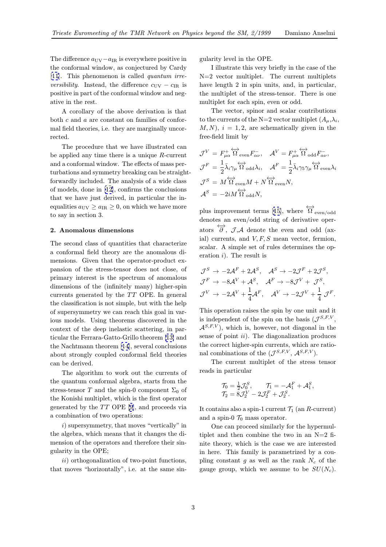The difference  $a_{\text{UV}}-a_{\text{IR}}$  is everywhere positive in the conformal window, as conjectured by Cardy [11]. This phenomenon is called quantum irre*versibility*. Instead, the difference  $c_{UV} - c_{IR}$  is positive in part of the conformal window and neg[ativ](#page-7-0)e in the rest.

A corollary of the above derivation is that both c and a are constant on families of conformal field theories, i.e. they are marginally uncorrected.

The procedure that we have illustrated can be applied any time there is a unique R-current and a conformal window. The effects of mass perturbations and symmetry breaking can be straightforwardly included. The analysis of a wide class of models, done in [12], confirms the conclusions that we have just derived, in particular the inequalities  $a_{\text{UV}} \ge a_{\text{IR}} \ge 0$ , on which we have more to say in section 3.

## 2. Anomalous dimensions

The second class of quantities that characterize a conformal field theory are the anomalous dimensions. Given that the operator-product expansion of the stress-tensor does not close, of primary interest is the spectrum of anomalous dimensions of the (infinitely many) higher-spin currents generated by the  $TT$  OPE. In general the classification is not simple, but with the help of supersymmetry we can reach this goal in various models. Using theorems discovered in the context of the deep inelastic scattering, in particular the Ferrara-Gatto-Grillo theorem [13] and the Nachtmann theorem [14], several conclusions about strongly coupled conformal field theories can be derived.

The algorithm to work out the cur[ren](#page-7-0)ts of the quantum conformal [alge](#page-7-0)bra, starts from the stress-tensor T and the spin-0 component  $\Sigma_0$  of the Konishi multiplet, which is the first operator generated by the  $TT$  OPE [9], and proceeds via a combination of two operations:

i) supersymmetry, that moves "vertically" in the algebra, which means that it changes the dimension of the operators an[d](#page-7-0) therefore their singularity in the OPE;

ii) orthogonalization of two-point functions, that moves "horizontally", i.e. at the same singularity level in the OPE.

I illustrate this very briefly in the case of the N=2 vector multiplet. The current multiplets have length 2 in spin units, and, in particular, the multiplet of the stress-tensor. There is one multiplet for each spin, even or odd.

The vector, spinor and scalar contributions to the currents of the N=2 vector multiplet  $(A_\mu, \lambda_i)$ ,  $(M, N), i = 1, 2$ , are schematically given in the free-field limit by

$$
\mathcal{J}^{V} = F_{\mu\alpha}^{+} \overleftrightarrow{\Omega}_{even}^{V} F_{\alpha\nu}^{-}, \quad \mathcal{A}^{V} = F_{\mu\alpha}^{+} \overleftrightarrow{\Omega}_{odd}^{V} F_{\alpha\nu}^{-},
$$

$$
\mathcal{J}^{F} = \frac{1}{2} \overline{\lambda}_{i} \gamma_{\mu} \overleftrightarrow{\Omega}_{odd} \lambda_{i}, \quad \mathcal{A}^{F} = \frac{1}{2} \overline{\lambda}_{i} \gamma_{5} \gamma_{\mu} \overleftrightarrow{\Omega}_{even} \lambda_{i}
$$

$$
\mathcal{J}^{S} = M \overleftrightarrow{\Omega}_{even} M + N \overleftrightarrow{\Omega}_{even} N,
$$

$$
\mathcal{A}^{S} = -2i M \overleftrightarrow{\Omega}_{odd} N,
$$

plus improvement terms [15], where  $\overleftrightarrow{\Omega}_{even/odd}$ denotes an even/odd string of derivative operators  $\overleftrightarrow{\partial}$ ,  $\overrightarrow{J}$ ,  $\overrightarrow{A}$  denote the even and odd (axial) currents, and  $V, F, S$  mean vector, fermion, scalar. A simple set of ru[les](#page-7-0) determines the operation  $i$ ). The result is

$$
\mathcal{J}^S \to -2\mathcal{A}^F + 2\mathcal{A}^S, \quad \mathcal{A}^S \to -2\mathcal{J}^F + 2\mathcal{J}^S,
$$
  

$$
\mathcal{J}^F \to -8\mathcal{A}^V + \mathcal{A}^S, \quad \mathcal{A}^F \to -8\mathcal{J}^V + \mathcal{J}^S,
$$
  

$$
\mathcal{J}^V \to -2\mathcal{A}^V + \frac{1}{4}\mathcal{A}^F, \quad \mathcal{A}^V \to -2\mathcal{J}^V + \frac{1}{4}\mathcal{J}^F.
$$

This operation raises the spin by one unit and it is independent of the spin on the basis  $(\mathcal{J}^{S,F,V},$  $\mathcal{A}^{S,F,V}$ , which is, however, not diagonal in the sense of point  $ii$ ). The diagonalization produces the correct higher-spin currents, which are rational combinations of the  $(\mathcal{J}^{S,F,V}, \mathcal{A}^{S,F,V}).$ 

The current multiplet of the stress tensor reads in particular

$$
\mathcal{T}_0 = \frac{1}{2}\mathcal{J}_0^S, \qquad \mathcal{T}_1 = -\mathcal{A}_1^F + \mathcal{A}_1^S,
$$
  

$$
\mathcal{T}_2 = 8\mathcal{J}_2^V - 2\mathcal{J}_2^F + \mathcal{J}_2^S.
$$

It contains also a spin-1 current  $\mathcal{T}_1$  (an R-current) and a spin-0  $\mathcal{T}_0$  mass operator.

One can proceed similarly for the hypermultiplet and then combine the two in an  $N=2$  finite theory, which is the case we are interested in here. This family is parametrized by a coupling constant  $g$  as well as the rank  $N_c$  of the gauge group, which we assume to be  $SU(N_c)$ .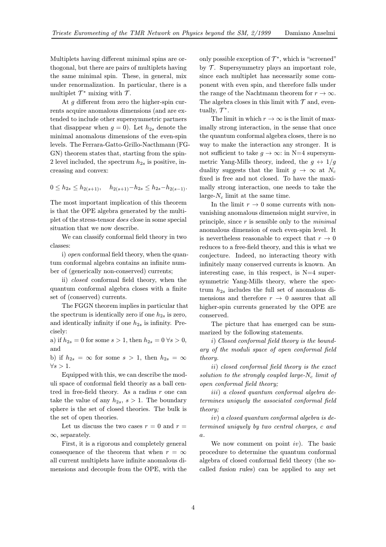Multiplets having different minimal spins are orthogonal, but there are pairs of multiplets having the same minimal spin. These, in general, mix under renormalization. In particular, there is a multiplet  $\mathcal{T}^*$  mixing with  $\mathcal{T}$ .

At q different from zero the higher-spin currents acquire anomalous dimensions (and are extended to include other supersymmetric partners that disappear when  $q = 0$ ). Let  $h_{2s}$  denote the minimal anomalous dimensions of the even-spin levels. The Ferrara-Gatto-Grillo-Nacthmann (FG-GN) theorem states that, starting from the spin-2 level included, the spectrum  $h_{2s}$  is positive, increasing and convex:

 $0 \leq h_{2s} \leq h_{2(s+1)}, \quad h_{2(s+1)}-h_{2s} \leq h_{2s}-h_{2(s-1)}.$ 

The most important implication of this theorem is that the OPE algebra generated by the multiplet of the stress-tensor does close in some special situation that we now describe.

We can classify conformal field theory in two classes:

i) open conformal field theory, when the quantum conformal algebra contains an infinite number of (generically non-conserved) currents;

ii) closed conformal field theory, when the quantum conformal algebra closes with a finite set of (conserved) currents.

The FGGN theorem implies in particular that the spectrum is identically zero if one  $h_{2s}$  is zero, and identically infinity if one  $h_{2s}$  is infinity. Precisely:

a) if  $h_{2s} = 0$  for some  $s > 1$ , then  $h_{2s} = 0 \,\forall s > 0$ , and

b) if  $h_{2s} = \infty$  for some  $s > 1$ , then  $h_{2s} = \infty$  $\forall s > 1.$ 

Equipped with this, we can describe the moduli space of conformal field theoriy as a ball centred in free-field theory. As a radius  $r$  one can take the value of any  $h_{2s}$ ,  $s > 1$ . The boundary sphere is the set of closed theories. The bulk is the set of open theories.

Let us discuss the two cases  $r = 0$  and  $r =$  $\infty$ , separately.

First, it is a rigorous and completely general consequence of the theorem that when  $r = \infty$ all current multiplets have infinite anomalous dimensions and decouple from the OPE, with the only possible exception of  $\mathcal{T}^*$ , which is "screened" by  $\mathcal T$ . Supersymmetry plays an important role, since each multiplet has necessarily some component with even spin, and therefore falls under the range of the Nachtmann theorem for  $r \to \infty$ . The algebra closes in this limit with  $\mathcal T$  and, eventually,  $\mathcal{T}^*$ .

The limit in which  $r \to \infty$  is the limit of maximally strong interaction, in the sense that once the quantum conformal algebra closes, there is no way to make the interaction any stronger. It is not sufficient to take  $q \to \infty$ : in N=4 supersymmetric Yang-Mills theory, indeed, the  $g \leftrightarrow 1/g$ duality suggests that the limit  $g \to \infty$  at  $N_c$ fixed is free and not closed. To have the maximally strong interaction, one needs to take the large- $N_c$  limit at the same time.

In the limit  $r \to 0$  some currents with nonvanishing anomalous dimension might survive, in principle, since  $r$  is sensible only to the *minimal* anomalous dimension of each even-spin level. It is nevertheless reasonable to expect that  $r \to 0$ reduces to a free-field theory, and this is what we conjecture. Indeed, no interacting theory with infinitely many conserved currents is known. An interesting case, in this respect, is  $N=4$  supersymmetric Yang-Mills theory, where the spectrum  $h_{2s}$  includes the full set of anomalous dimensions and therefore  $r \rightarrow 0$  assures that all higher-spin currents generated by the OPE are conserved.

The picture that has emerged can be summarized by the following statements.

i) Closed conformal field theory is the boundary of the moduli space of open conformal field theory.

ii) closed conformal field theory is the exact solution to the strongly coupled large- $N_c$  limit of open conformal field theory;

iii) a closed quantum conformal algebra determines uniquely the associated conformal field theory;

iv) a closed quantum conformal algebra is determined uniquely by two central charges, c and a.

We now comment on point  $iv$ ). The basic procedure to determine the quantum conformal algebra of closed conformal field theory (the socalled fusion rules) can be applied to any set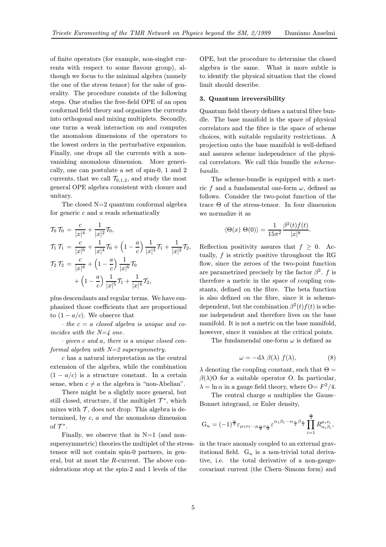of finite operators (for example, non-singlet currents with respect to some flavour group), although we focus to the minimal algebra (namely the one of the stress tensor) for the sake of generality. The procedure consists of the following steps. One studies the free-field OPE of an open conformal field theory and organizes the currents into orthogonal and mixing multiplets. Secondly, one turns a weak interaction on and computes the anomalous dimensions of the operators to the lowest orders in the perturbative expansion. Finally, one drops all the currents with a nonvanishing anomalous dimension. More generically, one can postulate a set of spin-0, 1 and 2 currents, that we call  $\mathcal{T}_{0,1,2}$ , and study the most general OPE algebra consistent with closure and unitary.

The closed  $N=2$  quantum conformal algebra for generic  $c$  and  $a$  reads schematically

$$
\begin{aligned}\n\mathcal{T}_0 \,\mathcal{T}_0 &= \frac{c}{|x|^4} + \frac{1}{|x|^2} \mathcal{T}_0, \\
\mathcal{T}_1 \,\mathcal{T}_1 &= \frac{c}{|x|^6} + \frac{1}{|x|^4} \mathcal{T}_0 + \left(1 - \frac{a}{c}\right) \frac{1}{|x|^3} \mathcal{T}_1 + \frac{1}{|x|^2} \mathcal{T}_2, \\
\mathcal{T}_2 \,\mathcal{T}_2 &= \frac{c}{|x|^8} + \left(1 - \frac{a}{c}\right) \frac{1}{|x|^6} \mathcal{T}_0 \\
&\quad + \left(1 - \frac{a}{c}\right) \frac{1}{|x|^5} \mathcal{T}_1 + \frac{1}{|x|^4} \mathcal{T}_2,\n\end{aligned}
$$

plus descendants and regular terms. We have emphasized those coefficients that are proportional to  $(1 - a/c)$ . We observe that

 $\cdot$  the  $c = a$  closed algebra is unique and coincides with the  $N=4$  one.

· given c and a, there is a unique closed conformal algebra with  $N=2$  supersymmetry.

c has a natural interpretation as the central extension of the algebra, while the combination  $(1 - a/c)$  is a structure constant. In a certain sense, when  $c \neq a$  the algebra is "non-Abelian".

There might be a slightly more general, but still closed, structure, if the multiplet  $\mathcal{T}^*$ , which mixes with  $\mathcal T$ , does not drop. This algebra is determined, by c, a and the anomalous dimension of  $\mathcal{T}^*$ .

Finally, we observe that in  $N=1$  (and nonsupersymmetric) theories the multiplet of the stresstensor will not contain spin-0 partners, in general, but at most the R-current. The above considerations stop at the spin-2 and 1 levels of the

OPE, but the procedure to determine the closed algebra is the same. What is more subtle is to identify the physical situation that the closed limit should describe.

### 3. Quantum irreversibility

Quantum field theory defines a natural fibre bundle. The base manifold is the space of physical correlators and the fibre is the space of scheme choices, with suitable regularity restrictions. A projection onto the base manifold is well-defined and assures scheme independence of the physical correlators. We call this bundle the schemebundle.

The scheme-bundle is equipped with a metric f and a fundamental one-form  $\omega$ , defined as follows. Consider the two-point function of the trace Θ of the stress-tensor. In four dimension we normalize it as

$$
\langle \Theta(x) \ \Theta(0) \rangle = \frac{1}{15\pi^2} \frac{\beta^2(t)f(t)}{|x|^8}.
$$

Reflection positivity assures that  $f \geq 0$ . Actually,  $f$  is strictly positive throughout the RG flow, since the zeroes of the two-point function are parametrized precisely by the factor  $\beta^2$ . f is therefore a metric in the space of coupling constants, defined on the fibre. The beta function is also defined on the fibre, since it is schemedependent, but the combination  $\beta^2(t) f(t)$  is scheme independent and therefore lives on the base manifold. It is not a metric on the base manifold, however, since it vanishes at the critical points.

The fundamendal one-form  $\omega$  is defined as

$$
\omega = -d\lambda \beta(\lambda) f(\lambda), \qquad (8)
$$

 $\lambda$  denoting the coupling constant, such that  $\Theta =$  $\beta(\lambda)$ O for a suitable operator O. In particular,  $\lambda = \ln \alpha$  in a gauge field theory, where  $O = F^2/4$ .

The central charge a multiplies the Gauss– Bonnet integrand, or Euler density,

$$
G_n = (-1)^{\frac{n}{2}} \varepsilon_{\mu_1 \nu_1 \cdots \mu_{\frac{n}{2}} \nu_{\frac{n}{2}}} \varepsilon^{\alpha_1 \beta_1 \cdots \alpha_{\frac{n}{2}} \beta_{\frac{n}{2}}} \prod_{i=1}^{\frac{n}{2}} R^{\mu_i \nu_i}_{\alpha_i \beta_i},
$$

in the trace anomaly coupled to an external gravitational field.  $G_n$  is a non-trivial total derivative, i.e. the total derivative of a non-gaugecovariant current (the Chern–Simons form) and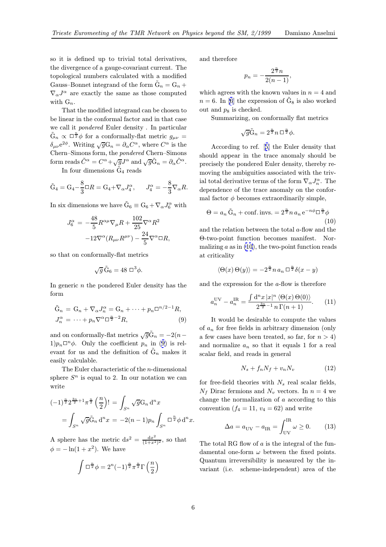<span id="page-5-0"></span>so it is defined up to trivial total derivatives, the divergence of a gauge-covariant current. The topological numbers calculated with a modified Gauss–Bonnet integrand of the form  $\tilde{G}_n = G_n +$  $\nabla_{\alpha}J^{\alpha}$  are exactly the same as those computed with  $G_n$ .

That the modified integrand can be chosen to be linear in the conformal factor and in that case we call it pondered Euler density . In particular  $\tilde{G}_n \propto \Box^{\frac{n}{2}} \phi$  for a conformally-flat metric  $g_{\mu\nu} =$ <br> $\delta \Omega^{\alpha}$  Whiting  $\tilde{G}^C = \partial \Omega^{\alpha}$  where  $\tilde{G}^{\alpha}$  is the  $\delta_{\mu\nu}e^{2\phi}$ . Writing  $\sqrt{g}G_n = \partial_\alpha C^\alpha$ , where  $C^\alpha$  is the Chern–Simons form, the pondered Chern–Simons form reads  $\tilde{C}^{\alpha} = C^{\alpha} + \sqrt{g}J^{\alpha}$  and  $\sqrt{g}\tilde{G}_n = \partial_{\alpha}\tilde{C}^{\alpha}$ .

In four dimensions  $\tilde{G}_4$  reads

$$
\tilde{\mathcal{G}}_4 = \mathcal{G}_4 - \frac{8}{3}\Box R = \mathcal{G}_4 + \nabla_\alpha J_4^\alpha, \qquad J_4^\alpha = -\frac{8}{3}\nabla_\alpha R.
$$

In six dimensions we have  $\tilde{G}_6 \equiv G_6 + \nabla_\alpha J_6^\alpha$  with

$$
J_6^{\alpha} = -\frac{48}{5} R^{\alpha \mu} \nabla_{\mu} R + \frac{102}{25} \nabla^{\alpha} R^2
$$

$$
-12 \nabla^{\alpha} (R_{\mu \nu} R^{\mu \nu}) - \frac{24}{5} \nabla^{\alpha} \Box R,
$$

so that on conformally-flat metrics

$$
\sqrt{g}\,\tilde{\mathcal{G}}_6 = 48\,\square^3\phi.
$$

In generic  $n$  the pondered Euler density has the form

$$
\tilde{G}_n = G_n + \nabla_\alpha J_n^{\alpha} = G_n + \dots + p_n \square^{n/2 - 1} R,
$$
  
\n
$$
J_n^{\alpha} = \dots + p_n \nabla^{\alpha} \square^{\frac{n}{2} - 2} R,
$$
\n(9)

and on conformally-flat metrics  $\sqrt{g}\tilde{G}_n = -2(n-1)$  $1)p_n\Box^n\phi$ . Only the coefficient  $p_n$  in (9) is relevant for us and the definition of  $\tilde{G}_n$  makes it easily calculable.

The Euler characteristic of the n-dimensional sphere  $S<sup>n</sup>$  is equal to 2. In our notation we can write

$$
(-1)^{\frac{n}{2}} 2^{\frac{3n}{2}+1} \pi^{\frac{n}{2}} \left(\frac{n}{2}\right)! = \int_{S^n} \sqrt{g} G_n \,d^n x \qquad \text{the}
$$

$$
= \int_{S^n} \sqrt{g} \tilde{G}_n \,d^n x = -2(n-1)p_n \int_{S^n} \Box^{\frac{n}{2}} \phi \,d^n x.
$$

A sphere has the metric  $ds^2 = \frac{dx^2}{(1+x^2)^2}$ , so that  $\phi = -\ln(1 + x^2)$ . We have

$$
\int \Box^{\frac{n}{2}} \phi = 2^{n} (-1)^{\frac{n}{2}} \pi^{\frac{n}{2}} \Gamma\left(\frac{n}{2}\right)
$$

and therefore

$$
p_n = -\frac{2^{\frac{n}{2}}n}{2(n-1)},
$$

which agrees with the known values in  $n = 4$  and  $n = 6$ . In [6] the expression of  $\tilde{G}_8$  is also worked out and  $p_8$  is checked.

Summarizing, on conformally flat metrics

$$
\sqrt{g}\tilde{G}_n = 2^{\frac{n}{2}}n\Box^{\frac{n}{2}}\phi.
$$

According to ref. [5] the Euler density that should appear in the trace anomaly should be precisely the pondered Euler density, thereby removing the ambiguities associated with the trivial total derivative ter[ms](#page-7-0) of the form  $\nabla_{\alpha}J_n^{\alpha}$ . The dependence of the trace anomaly on the conformal factor  $\phi$  becomes extraordinarily simple,

$$
\Theta = a_n \tilde{G}_n + \text{conf.} \text{invs.} = 2^{\frac{n}{2}} n a_n e^{-n\phi} \Box^{\frac{n}{2}} \phi
$$
\n(10)

and the relation between the total a-flow and the Θ-two-point function becomes manifest. Normalizing  $a$  as in  $(10)$ , the two-point function reads at criticality

$$
\langle \Theta(x) \Theta(y) \rangle = -2^{\frac{n}{2}} n a_n \Box^{\frac{n}{2}} \delta(x - y)
$$

and the expression for the a-flow is therefore

$$
a_n^{\text{UV}} - a_n^{\text{IR}} = \frac{\int d^n x \, |x|^n \, \langle \Theta(x) \, \Theta(0) \rangle}{2^{\frac{3n}{2} - 1} \, n \, \Gamma(n+1)}.\tag{11}
$$

It would be desirable to compute the values of  $a_n$  for free fields in arbitrary dimension (only a few cases have been treated, so far, for  $n > 4$ ) and normalize  $a_n$  so that it equals 1 for a real scalar field, and reads in general

$$
N_s + f_n N_f + v_n N_v \tag{12}
$$

for free-field theories with  $N_s$  real scalar fields,  $N_f$  Dirac fermions and  $N_v$  vectors. In  $n = 4$  we change the normalization of a according to this convention  $(f_4 = 11, v_4 = 62)$  and write

$$
\Delta a = a_{\text{UV}} - a_{\text{IR}} = \int_{\text{UV}}^{\text{IR}} \omega \ge 0. \tag{13}
$$

The total RG flow of  $a$  is the integral of the fundamental one-form  $\omega$  between the fixed points. Quantum irreversibility is measured by the invariant (i.e. scheme-independent) area of the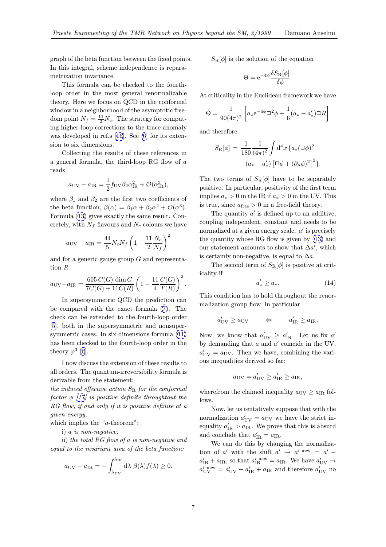<span id="page-6-0"></span>graph of the beta function between the fixed points. In this integral, scheme independence is reparametrization invariance.

This formula can be checked to the fourthloop order in the most general renormalizable theory. Here we focus on QCD in the conformal window in a neighborhood of the asymptotic freedom point  $N_f = \frac{11}{2} N_c$ . The strategy for comput-<br>ing bigher loop corrections to the trace anomaly ing higher-loop corrections to the trace anomaly was developed in ref.s [16]. See [6] for its extension to six dimensions.

Collecting the results of these references in a general formula, [th](#page-7-0)e third-loo[p](#page-7-0) RG flow of  $a$ reads

$$
a_{\rm UV} - a_{\rm IR} = \frac{1}{2} f_{\rm UV} \beta_2 \alpha_{\rm IR}^2 + \mathcal{O}(\alpha_{\rm IR}^3),
$$

where  $\beta_1$  and  $\beta_2$  are the first two coefficients of the beta function,  $\beta(\alpha) = \beta_1 \alpha + \beta_2 \alpha^2 + \mathcal{O}(\alpha^3)$ . Formula (13) gives exactly the same result. Concretely, with  $N_f$  flavours and  $N_c$  colours we have

$$
a_{\rm UV} - a_{\rm IR} = \frac{44}{5} N_c N_f \left( 1 - \frac{11}{2} \frac{N_c}{N_f} \right)^2
$$

and for a generic gauge group  $G$  and representation R

$$
a_{\rm UV}-a_{\rm IR} = \frac{605\,C(G)\,\dim G}{7C(G)+11C(R)}\left(1-\frac{11}{4}\frac{C(G)}{T(R)}\right)^2.
$$

In supersymmetric QCD the prediction can be compared with the exact formula (7). The check can be extended to the fourth-loop order [5], both in the supersymmetric and nonsupersymmetric cases. In six dimensions formula (11) has been checked to the fourth-loop ord[er](#page-1-0) in the [th](#page-7-0)eory  $\varphi^3$  [6].

I now discuss the extension of these result[s to](#page-5-0) all orders. The quantum-irreversibility formula is derivable f[ro](#page-7-0)m the statement:

the induced effective action  $S_R$  for the conformal factor  $\phi$  [17] is positive definite throughtout the RG flow, if and only if it is positive definite at a given energy,

which implies the "*a*-theorem":

i) a i[s n](#page-7-0)on-negative;

ii) the total RG flow of a is non-negative and equal to the invariant area of the beta function:

$$
a_{\rm UV} - a_{\rm IR} = -\int_{\lambda_{\rm UV}}^{\lambda_{\rm IR}} d\lambda \beta(\lambda) f(\lambda) \ge 0.
$$

 $S_{\rm R}[\phi]$  is the solution of the equation

$$
\Theta = e^{-4\phi} \frac{\delta S_{\rm R}[\phi]}{\delta \phi}.
$$

At criticality in the Euclidean framework we have

$$
\Theta = \frac{1}{90(4\pi)^2} \left[ a_* e^{-4\phi} \Box^2 \phi + \frac{1}{6} (a_* - a'_*) \Box R \right]
$$

and therefore

$$
S_{\rm R}[\phi] = \frac{1}{180} \frac{1}{(4\pi)^2} \int d^4x \{ a_*(\Box \phi)^2 - (a_* - a'_*) \left[ \Box \phi + (\partial_\mu \phi)^2 \right]^2 \}.
$$

The two terms of  $S_{\rm R}[\phi]$  have to be separately positive. In particular, positivity of the first term implies  $a_* > 0$  in the IR if  $a_* > 0$  in the UV. This is true, since  $a_{\text{free}} > 0$  in a free-field theory.

The quantity  $a'$  is defined up to an additive, coupling independent, constant and needs to be normalized at a given energy scale.  $a'$  is precisely the quantity whose RG flow is given by (13) and our statement amounts to show that  $\Delta a'$ , which<br>is exitably non-negative is exual to  $\Delta a$ . is certainly non-negative, is equal to  $\Delta a$ .

The second term of  $S_{\rm R}[\phi]$  is positive [at](#page-5-0) criticality if

$$
a'_* \ge a_*.\tag{14}
$$

This condition has to hold throughout the renormalization group flow, in particular

$$
a'_{\text{UV}} \ge a_{\text{UV}} \qquad \Leftrightarrow \qquad a'_{\text{IR}} \ge a_{\text{IR}}.
$$

Now, we know that  $a'_{UV} \ge a'_{IR}$ . Let us fix  $a'$ <br>by demanding that a and a' soingide in the UV by demanding that  $a$  and  $a'$  coincide in the UV,  $a'_{UV} = a_{UV}$ . Then we have, combining the vari-<br>and inconsisting derived as farm ous inequalities derived so far:

$$
a_{\rm UV} = a'_{\rm UV} \ge a'_{\rm IR} \ge a_{\rm IR},
$$

wherefrom the claimed inequality  $a_{\rm UV} \ge a_{\rm IR}$  follows.

Now, let us tentatively suppose that with the normalization  $a'_{UV} = a_{UV}$  we have the strict in-<br>couplity  $a' \ge a_{UV}$ . We prove that this is abound equality  $a'_{\text{IR}} > a_{\text{IR}}$ . We prove that this is absurd and conclude that  $a'_{\text{IR}} = a_{\text{IR}}$ .<br>We see do this by share

We can do this by changing the normalization of a' with the shift  $a' \rightarrow a'$  new =  $a'$  –  $a'_{\text{IR}} + a_{\text{IR}}$ , so that  $a'_{\text{IR}}^{\text{new}} = a_{\text{IR}}$ . We have  $a'_{\text{UV}} \rightarrow a'_{\text{IR}}^{\text{new}} = a'_{\text{IR}}$  $a'_{\text{UV}}^{\text{new}} = a'_{\text{UV}} - a'_{\text{IR}} + a_{\text{IR}}$  and therefore  $a'_{\text{UV}}$  no